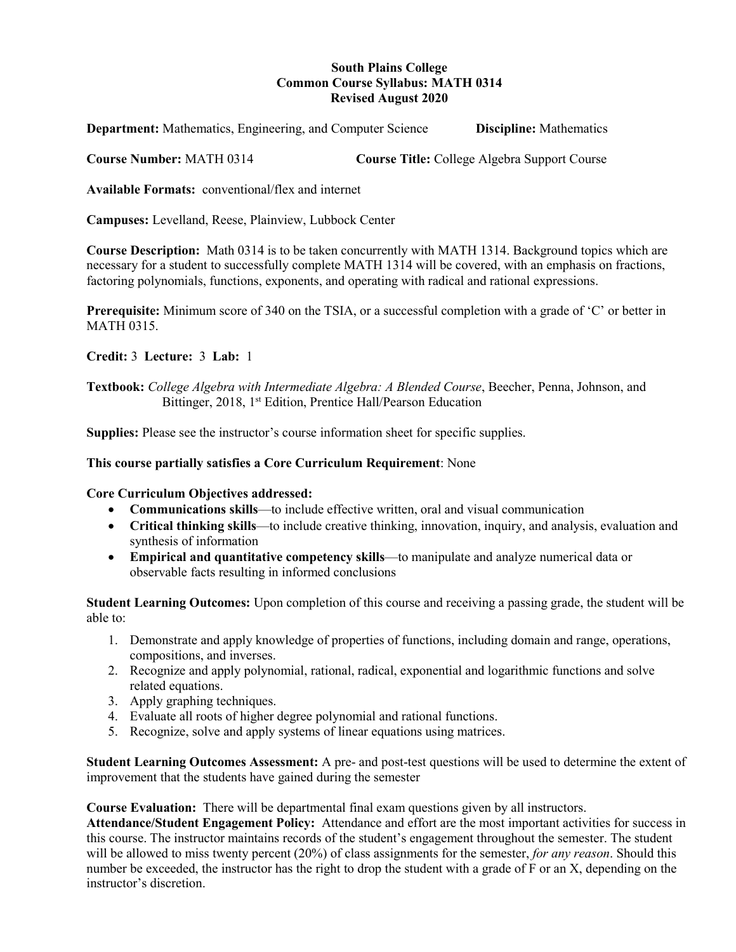## **South Plains College Common Course Syllabus: MATH 0314 Revised August 2020**

**Department:** Mathematics, Engineering, and Computer Science **Discipline:** Mathematics

**Course Number:** MATH 0314 **Course Title:** College Algebra Support Course

**Available Formats:** conventional/flex and internet

**Campuses:** Levelland, Reese, Plainview, Lubbock Center

**Course Description:** Math 0314 is to be taken concurrently with MATH 1314. Background topics which are necessary for a student to successfully complete MATH 1314 will be covered, with an emphasis on fractions, factoring polynomials, functions, exponents, and operating with radical and rational expressions.

**Prerequisite:** Minimum score of 340 on the TSIA, or a successful completion with a grade of 'C' or better in MATH 0315.

**Credit:** 3 **Lecture:** 3 **Lab:** 1

**Textbook:** *College Algebra with Intermediate Algebra: A Blended Course*, Beecher, Penna, Johnson, and Bittinger, 2018, 1<sup>st</sup> Edition, Prentice Hall/Pearson Education

**Supplies:** Please see the instructor's course information sheet for specific supplies.

### **This course partially satisfies a Core Curriculum Requirement**: None

### **Core Curriculum Objectives addressed:**

- **Communications skills**—to include effective written, oral and visual communication
- **Critical thinking skills**—to include creative thinking, innovation, inquiry, and analysis, evaluation and synthesis of information
- **Empirical and quantitative competency skills**—to manipulate and analyze numerical data or observable facts resulting in informed conclusions

**Student Learning Outcomes:** Upon completion of this course and receiving a passing grade, the student will be able to:

- 1. Demonstrate and apply knowledge of properties of functions, including domain and range, operations, compositions, and inverses.
- 2. Recognize and apply polynomial, rational, radical, exponential and logarithmic functions and solve related equations.
- 3. Apply graphing techniques.
- 4. Evaluate all roots of higher degree polynomial and rational functions.
- 5. Recognize, solve and apply systems of linear equations using matrices.

**Student Learning Outcomes Assessment:** A pre- and post-test questions will be used to determine the extent of improvement that the students have gained during the semester

**Course Evaluation:** There will be departmental final exam questions given by all instructors.

**Attendance/Student Engagement Policy:** Attendance and effort are the most important activities for success in this course. The instructor maintains records of the student's engagement throughout the semester. The student will be allowed to miss twenty percent (20%) of class assignments for the semester, *for any reason*. Should this number be exceeded, the instructor has the right to drop the student with a grade of F or an X, depending on the instructor's discretion.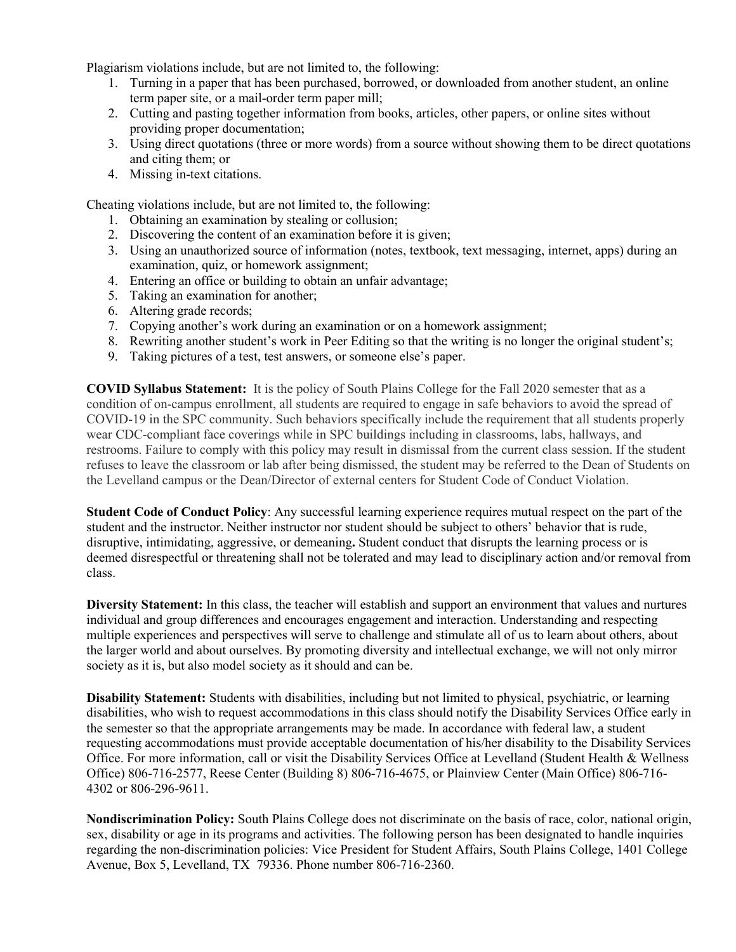Plagiarism violations include, but are not limited to, the following:

- 1. Turning in a paper that has been purchased, borrowed, or downloaded from another student, an online term paper site, or a mail-order term paper mill;
- 2. Cutting and pasting together information from books, articles, other papers, or online sites without providing proper documentation;
- 3. Using direct quotations (three or more words) from a source without showing them to be direct quotations and citing them; or
- 4. Missing in-text citations.

Cheating violations include, but are not limited to, the following:

- 1. Obtaining an examination by stealing or collusion;
- 2. Discovering the content of an examination before it is given;
- 3. Using an unauthorized source of information (notes, textbook, text messaging, internet, apps) during an examination, quiz, or homework assignment;
- 4. Entering an office or building to obtain an unfair advantage;
- 5. Taking an examination for another;
- 6. Altering grade records;
- 7. Copying another's work during an examination or on a homework assignment;
- 8. Rewriting another student's work in Peer Editing so that the writing is no longer the original student's;
- 9. Taking pictures of a test, test answers, or someone else's paper.

**COVID Syllabus Statement:** It is the policy of South Plains College for the Fall 2020 semester that as a condition of on-campus enrollment, all students are required to engage in safe behaviors to avoid the spread of COVID-19 in the SPC community. Such behaviors specifically include the requirement that all students properly wear CDC-compliant face coverings while in SPC buildings including in classrooms, labs, hallways, and restrooms. Failure to comply with this policy may result in dismissal from the current class session. If the student refuses to leave the classroom or lab after being dismissed, the student may be referred to the Dean of Students on the Levelland campus or the Dean/Director of external centers for Student Code of Conduct Violation.

**Student Code of Conduct Policy**: Any successful learning experience requires mutual respect on the part of the student and the instructor. Neither instructor nor student should be subject to others' behavior that is rude, disruptive, intimidating, aggressive, or demeaning**.** Student conduct that disrupts the learning process or is deemed disrespectful or threatening shall not be tolerated and may lead to disciplinary action and/or removal from class.

**Diversity Statement:** In this class, the teacher will establish and support an environment that values and nurtures individual and group differences and encourages engagement and interaction. Understanding and respecting multiple experiences and perspectives will serve to challenge and stimulate all of us to learn about others, about the larger world and about ourselves. By promoting diversity and intellectual exchange, we will not only mirror society as it is, but also model society as it should and can be.

**Disability Statement:** Students with disabilities, including but not limited to physical, psychiatric, or learning disabilities, who wish to request accommodations in this class should notify the Disability Services Office early in the semester so that the appropriate arrangements may be made. In accordance with federal law, a student requesting accommodations must provide acceptable documentation of his/her disability to the Disability Services Office. For more information, call or visit the Disability Services Office at Levelland (Student Health & Wellness Office) 806-716-2577, Reese Center (Building 8) 806-716-4675, or Plainview Center (Main Office) 806-716- 4302 or 806-296-9611.

**Nondiscrimination Policy:** South Plains College does not discriminate on the basis of race, color, national origin, sex, disability or age in its programs and activities. The following person has been designated to handle inquiries regarding the non-discrimination policies: Vice President for Student Affairs, South Plains College, 1401 College Avenue, Box 5, Levelland, TX 79336. Phone number 806-716-2360.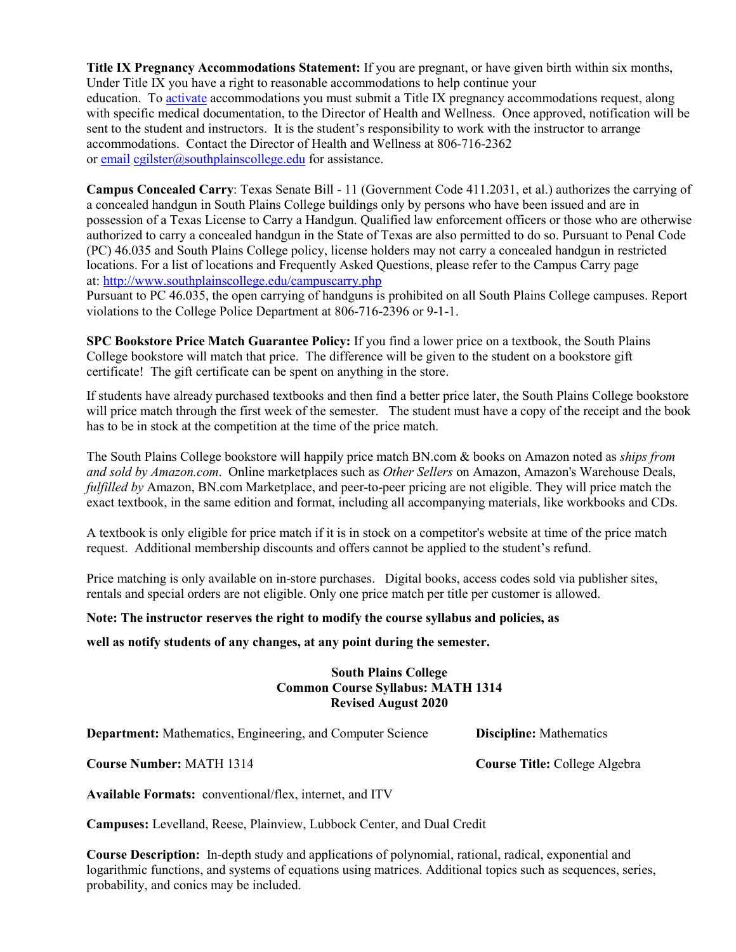**Title IX Pregnancy Accommodations Statement:** If you are pregnant, or have given birth within six months, Under Title IX you have a right to reasonable accommodations to help continue your education. To [activate](http://www.southplainscollege.edu/employees/manualshandbooks/facultyhandbook/sec4.php) accommodations you must submit a Title IX pregnancy accommodations request, along with specific medical documentation, to the Director of Health and Wellness. Once approved, notification will be sent to the student and instructors. It is the student's responsibility to work with the instructor to arrange accommodations. Contact the Director of Health and Wellness at 806-716-2362 or [email](http://www.southplainscollege.edu/employees/manualshandbooks/facultyhandbook/sec4.php) [cgilster@southplainscollege.edu](mailto:cgilster@southplainscollege.edu) for assistance.

**Campus Concealed Carry**: Texas Senate Bill - 11 (Government Code 411.2031, et al.) authorizes the carrying of a concealed handgun in South Plains College buildings only by persons who have been issued and are in possession of a Texas License to Carry a Handgun. Qualified law enforcement officers or those who are otherwise authorized to carry a concealed handgun in the State of Texas are also permitted to do so. Pursuant to Penal Code (PC) 46.035 and South Plains College policy, license holders may not carry a concealed handgun in restricted locations. For a list of locations and Frequently Asked Questions, please refer to the Campus Carry page at: <http://www.southplainscollege.edu/campuscarry.php>

Pursuant to PC 46.035, the open carrying of handguns is prohibited on all South Plains College campuses. Report violations to the College Police Department at 806-716-2396 or 9-1-1.

**SPC Bookstore Price Match Guarantee Policy:** If you find a lower price on a textbook, the South Plains College bookstore will match that price. The difference will be given to the student on a bookstore gift certificate! The gift certificate can be spent on anything in the store.

If students have already purchased textbooks and then find a better price later, the South Plains College bookstore will price match through the first week of the semester. The student must have a copy of the receipt and the book has to be in stock at the competition at the time of the price match.

The South Plains College bookstore will happily price match BN.com & books on Amazon noted as *ships from and sold by Amazon.com*. Online marketplaces such as *Other Sellers* on Amazon, Amazon's Warehouse Deals, *fulfilled by* Amazon, BN.com Marketplace, and peer-to-peer pricing are not eligible. They will price match the exact textbook, in the same edition and format, including all accompanying materials, like workbooks and CDs.

A textbook is only eligible for price match if it is in stock on a competitor's website at time of the price match request. Additional membership discounts and offers cannot be applied to the student's refund.

Price matching is only available on in-store purchases. Digital books, access codes sold via publisher sites, rentals and special orders are not eligible. Only one price match per title per customer is allowed.

### **Note: The instructor reserves the right to modify the course syllabus and policies, as**

**well as notify students of any changes, at any point during the semester.** 

### **South Plains College Common Course Syllabus: MATH 1314 Revised August 2020**

**Department:** Mathematics, Engineering, and Computer Science **Discipline:** Mathematics

**Course Number:** MATH 1314 **Course Title:** College Algebra

**Available Formats:** conventional/flex, internet, and ITV

**Campuses:** Levelland, Reese, Plainview, Lubbock Center, and Dual Credit

**Course Description:** In-depth study and applications of polynomial, rational, radical, exponential and logarithmic functions, and systems of equations using matrices. Additional topics such as sequences, series, probability, and conics may be included.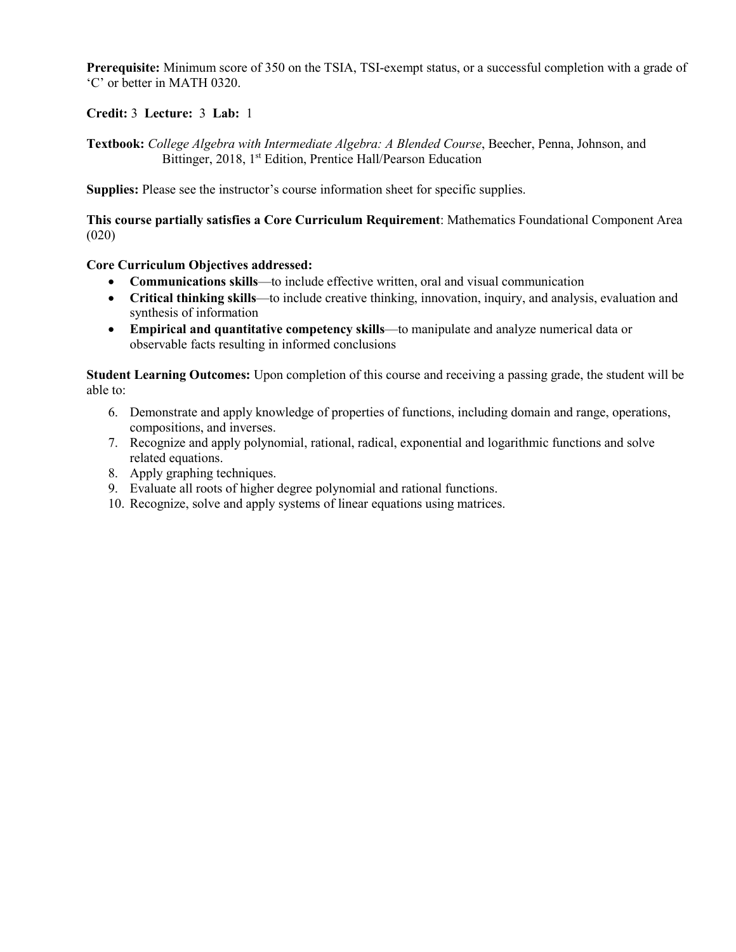**Prerequisite:** Minimum score of 350 on the TSIA, TSI-exempt status, or a successful completion with a grade of 'C' or better in MATH 0320.

**Credit:** 3 **Lecture:** 3 **Lab:** 1

**Textbook:** *College Algebra with Intermediate Algebra: A Blended Course*, Beecher, Penna, Johnson, and Bittinger, 2018, 1<sup>st</sup> Edition, Prentice Hall/Pearson Education

**Supplies:** Please see the instructor's course information sheet for specific supplies.

**This course partially satisfies a Core Curriculum Requirement**: Mathematics Foundational Component Area (020)

**Core Curriculum Objectives addressed:**

- **Communications skills**—to include effective written, oral and visual communication
- **Critical thinking skills**—to include creative thinking, innovation, inquiry, and analysis, evaluation and synthesis of information
- **Empirical and quantitative competency skills**—to manipulate and analyze numerical data or observable facts resulting in informed conclusions

**Student Learning Outcomes:** Upon completion of this course and receiving a passing grade, the student will be able to:

- 6. Demonstrate and apply knowledge of properties of functions, including domain and range, operations, compositions, and inverses.
- 7. Recognize and apply polynomial, rational, radical, exponential and logarithmic functions and solve related equations.
- 8. Apply graphing techniques.
- 9. Evaluate all roots of higher degree polynomial and rational functions.
- 10. Recognize, solve and apply systems of linear equations using matrices.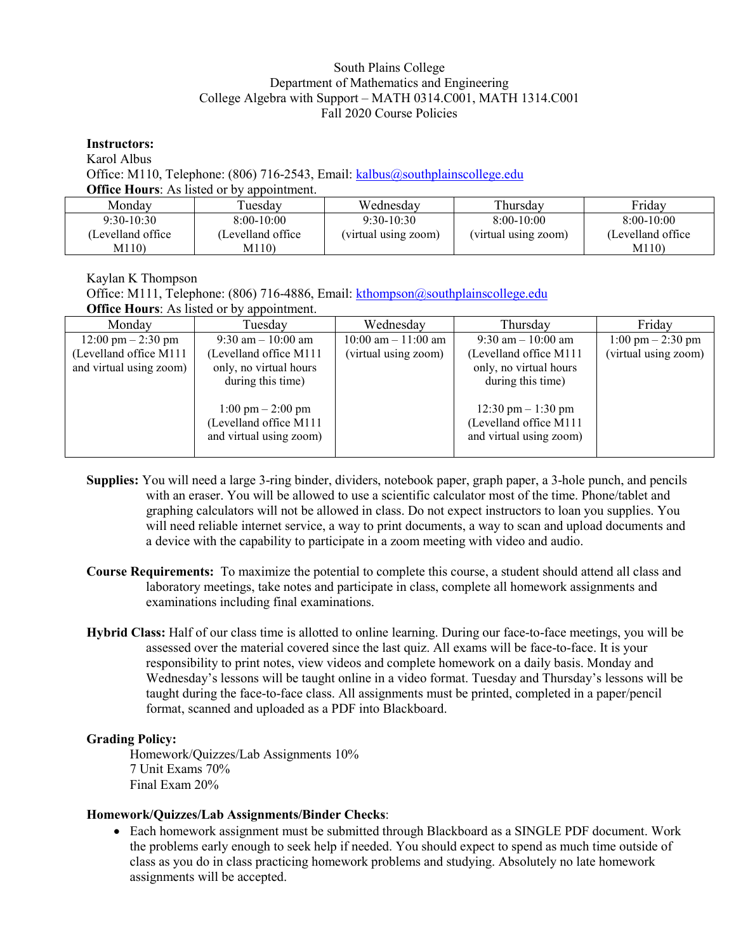## South Plains College Department of Mathematics and Engineering College Algebra with Support – MATH 0314.C001, MATH 1314.C001 Fall 2020 Course Policies

**Instructors:** Karol Albus Office: M110, Telephone: (806) 716-2543, Email: [kalbus@southplainscollege.edu](mailto:kalbus@southplainscollege.edu) **Office Hours:** As listed or by appointment.

| Mondav             | l uesdav           | Wednesdav            | Thursday             | Friday             |
|--------------------|--------------------|----------------------|----------------------|--------------------|
| $9:30-10:30$       | $8:00-10:00$       | $9:30-10:30$         | $8:00-10:00$         | $8:00-10:00$       |
| (Levelland office) | (Levelland office) | (virtual using zoom) | (virtual using zoom) | (Levelland office) |
| M110)              | M110)              |                      |                      | M110)              |

Kaylan K Thompson Office: M111, Telephone: (806) 716-4886, Email: [kthompson@southplainscollege.edu](mailto:kthompson@southplainscollege.edu) **Office Hours:** As listed or by appointment.

| Monday                               | Tuesday                             | Wednesday              | Thursday                             | Friday                              |
|--------------------------------------|-------------------------------------|------------------------|--------------------------------------|-------------------------------------|
| $12:00 \text{ pm} - 2:30 \text{ pm}$ | $9:30$ am $-10:00$ am               | $10:00$ am $-11:00$ am | $9:30$ am $-10:00$ am                | $1:00 \text{ pm} - 2:30 \text{ pm}$ |
| (Levelland office M111               | (Levelland office M111              | (virtual using zoom)   | (Levelland office M111               | (virtual using zoom)                |
| and virtual using zoom)              | only, no virtual hours              |                        | only, no virtual hours               |                                     |
|                                      | during this time)                   |                        | during this time)                    |                                     |
|                                      |                                     |                        |                                      |                                     |
|                                      | $1:00 \text{ pm} - 2:00 \text{ pm}$ |                        | $12:30 \text{ pm} - 1:30 \text{ pm}$ |                                     |
|                                      | (Levelland office M111              |                        | (Levelland office M111               |                                     |
|                                      | and virtual using zoom)             |                        | and virtual using zoom)              |                                     |
|                                      |                                     |                        |                                      |                                     |

- **Supplies:** You will need a large 3-ring binder, dividers, notebook paper, graph paper, a 3-hole punch, and pencils with an eraser. You will be allowed to use a scientific calculator most of the time. Phone/tablet and graphing calculators will not be allowed in class. Do not expect instructors to loan you supplies. You will need reliable internet service, a way to print documents, a way to scan and upload documents and a device with the capability to participate in a zoom meeting with video and audio.
- **Course Requirements:** To maximize the potential to complete this course, a student should attend all class and laboratory meetings, take notes and participate in class, complete all homework assignments and examinations including final examinations.
- **Hybrid Class:** Half of our class time is allotted to online learning. During our face-to-face meetings, you will be assessed over the material covered since the last quiz. All exams will be face-to-face. It is your responsibility to print notes, view videos and complete homework on a daily basis. Monday and Wednesday's lessons will be taught online in a video format. Tuesday and Thursday's lessons will be taught during the face-to-face class. All assignments must be printed, completed in a paper/pencil format, scanned and uploaded as a PDF into Blackboard.

# **Grading Policy:**

Homework/Quizzes/Lab Assignments 10% 7 Unit Exams 70% Final Exam 20%

### **Homework/Quizzes/Lab Assignments/Binder Checks**:

• Each homework assignment must be submitted through Blackboard as a SINGLE PDF document. Work the problems early enough to seek help if needed. You should expect to spend as much time outside of class as you do in class practicing homework problems and studying. Absolutely no late homework assignments will be accepted.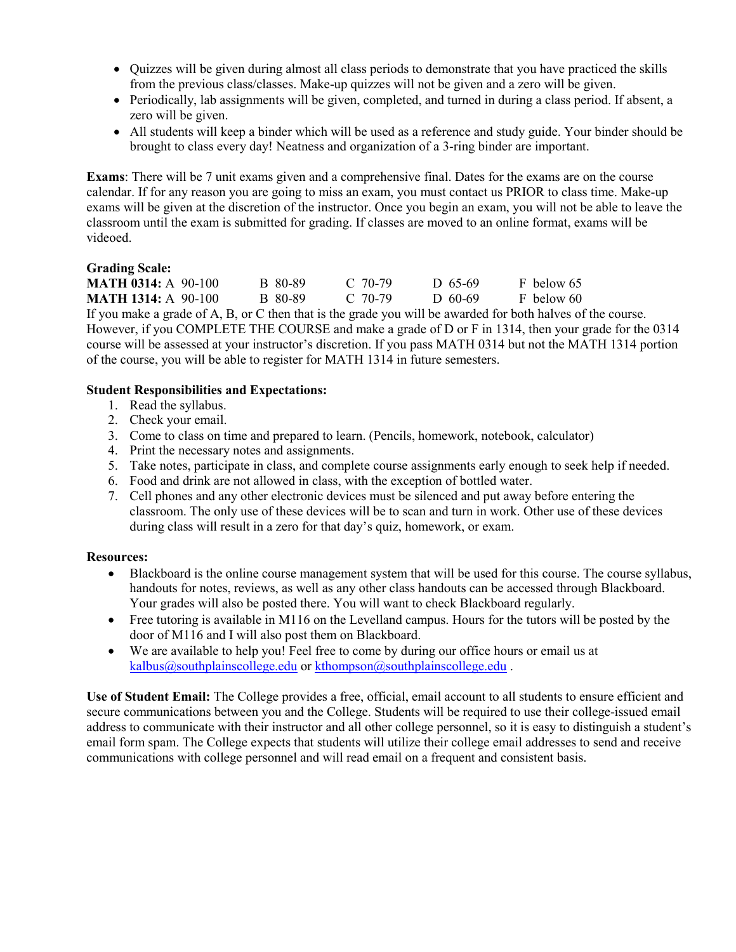- Quizzes will be given during almost all class periods to demonstrate that you have practiced the skills from the previous class/classes. Make-up quizzes will not be given and a zero will be given.
- Periodically, lab assignments will be given, completed, and turned in during a class period. If absent, a zero will be given.
- All students will keep a binder which will be used as a reference and study guide. Your binder should be brought to class every day! Neatness and organization of a 3-ring binder are important.

**Exams**: There will be 7 unit exams given and a comprehensive final. Dates for the exams are on the course calendar. If for any reason you are going to miss an exam, you must contact us PRIOR to class time. Make-up exams will be given at the discretion of the instructor. Once you begin an exam, you will not be able to leave the classroom until the exam is submitted for grading. If classes are moved to an online format, exams will be videoed.

### **Grading Scale:**

| <b>MATH 0314:</b> A 90-100 | B 80-89 | $C$ 70-79 | D 65-69 | F below 65 |
|----------------------------|---------|-----------|---------|------------|
| <b>MATH 1314: A 90-100</b> | B 80-89 | C 70-79   | D 60-69 | F below 60 |

If you make a grade of A, B, or C then that is the grade you will be awarded for both halves of the course. However, if you COMPLETE THE COURSE and make a grade of D or F in 1314, then your grade for the 0314 course will be assessed at your instructor's discretion. If you pass MATH 0314 but not the MATH 1314 portion of the course, you will be able to register for MATH 1314 in future semesters.

## **Student Responsibilities and Expectations:**

- 1. Read the syllabus.
- 2. Check your email.
- 3. Come to class on time and prepared to learn. (Pencils, homework, notebook, calculator)
- 4. Print the necessary notes and assignments.
- 5. Take notes, participate in class, and complete course assignments early enough to seek help if needed.
- 6. Food and drink are not allowed in class, with the exception of bottled water.
- 7. Cell phones and any other electronic devices must be silenced and put away before entering the classroom. The only use of these devices will be to scan and turn in work. Other use of these devices during class will result in a zero for that day's quiz, homework, or exam.

### **Resources:**

- Blackboard is the online course management system that will be used for this course. The course syllabus, handouts for notes, reviews, as well as any other class handouts can be accessed through Blackboard. Your grades will also be posted there. You will want to check Blackboard regularly.
- Free tutoring is available in M116 on the Levelland campus. Hours for the tutors will be posted by the door of M116 and I will also post them on Blackboard.
- We are available to help you! Feel free to come by during our office hours or email us at [kalbus@southplainscollege.edu](mailto:kalbus@southplainscollege.edu) or [kthompson@southplainscollege.edu](mailto:kthompson@southplainscollege.edu).

**Use of Student Email:** The College provides a free, official, email account to all students to ensure efficient and secure communications between you and the College. Students will be required to use their college-issued email address to communicate with their instructor and all other college personnel, so it is easy to distinguish a student's email form spam. The College expects that students will utilize their college email addresses to send and receive communications with college personnel and will read email on a frequent and consistent basis.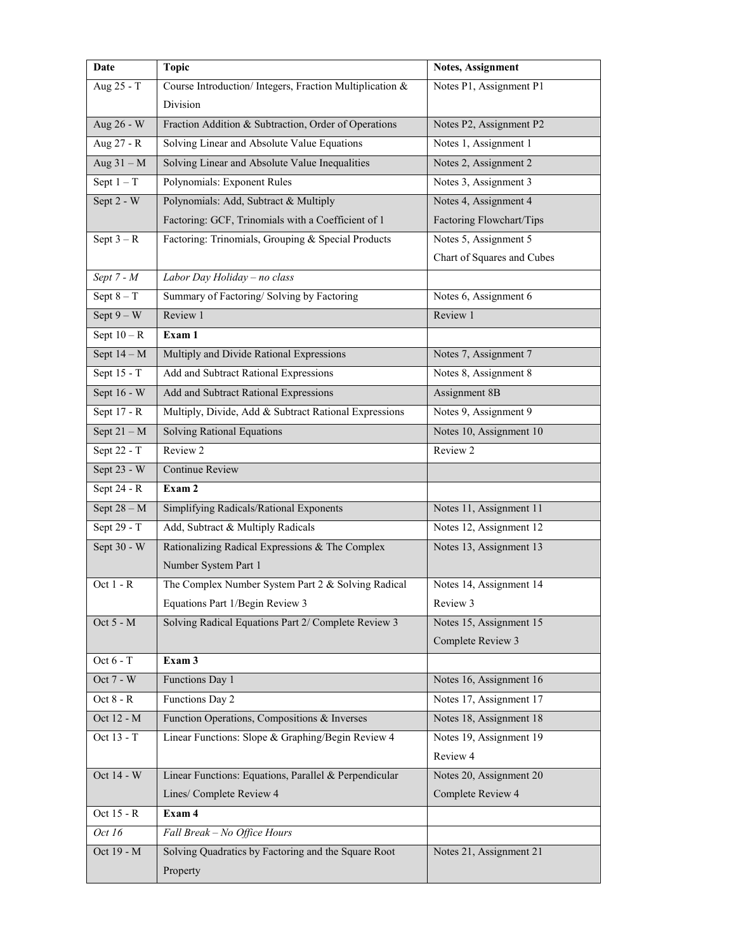| Date            | <b>Topic</b>                                             | Notes, Assignment          |
|-----------------|----------------------------------------------------------|----------------------------|
| Aug 25 - T      | Course Introduction/ Integers, Fraction Multiplication & | Notes P1, Assignment P1    |
|                 | Division                                                 |                            |
| Aug 26 - W      | Fraction Addition & Subtraction, Order of Operations     | Notes P2, Assignment P2    |
| Aug 27 - R      | Solving Linear and Absolute Value Equations              | Notes 1, Assignment 1      |
| Aug $31 - M$    | Solving Linear and Absolute Value Inequalities           | Notes 2, Assignment 2      |
| Sept $1 - T$    | Polynomials: Exponent Rules                              | Notes 3, Assignment 3      |
| Sept 2 - W      | Polynomials: Add, Subtract & Multiply                    | Notes 4, Assignment 4      |
|                 | Factoring: GCF, Trinomials with a Coefficient of 1       | Factoring Flowchart/Tips   |
| Sept $3 - R$    | Factoring: Trinomials, Grouping & Special Products       | Notes 5, Assignment 5      |
|                 |                                                          | Chart of Squares and Cubes |
| Sept $7 - M$    | Labor Day Holiday - no class                             |                            |
| $S$ ept $8 - T$ | Summary of Factoring/Solving by Factoring                | Notes 6, Assignment 6      |
| Sept $9-W$      | Review 1                                                 | Review 1                   |
| Sept $10 - R$   | Exam 1                                                   |                            |
| Sept $14 - M$   | Multiply and Divide Rational Expressions                 | Notes 7, Assignment 7      |
| Sept 15 - T     | Add and Subtract Rational Expressions                    | Notes 8, Assignment 8      |
| Sept 16 - W     | Add and Subtract Rational Expressions                    | Assignment 8B              |
| Sept 17 - R     | Multiply, Divide, Add & Subtract Rational Expressions    | Notes 9, Assignment 9      |
| Sept $21 - M$   | <b>Solving Rational Equations</b>                        | Notes 10, Assignment 10    |
| Sept 22 - T     | Review 2                                                 | Review 2                   |
| Sept 23 - W     | <b>Continue Review</b>                                   |                            |
| Sept 24 - R     | Exam 2                                                   |                            |
| Sept $28 - M$   | Simplifying Radicals/Rational Exponents                  | Notes 11, Assignment 11    |
| Sept 29 - T     | Add, Subtract & Multiply Radicals                        | Notes 12, Assignment 12    |
| Sept $30 - W$   | Rationalizing Radical Expressions & The Complex          | Notes 13, Assignment 13    |
|                 | Number System Part 1                                     |                            |
| Oct $1 - R$     | The Complex Number System Part 2 & Solving Radical       | Notes 14, Assignment 14    |
|                 | Equations Part 1/Begin Review 3                          | Review 3                   |
| Oct $5 - M$     | Solving Radical Equations Part 2/ Complete Review 3      | Notes 15, Assignment 15    |
|                 |                                                          | Complete Review 3          |
| Oct $6 - T$     | Exam 3                                                   |                            |
| Oct 7 - W       | Functions Day 1                                          | Notes 16, Assignment 16    |
| Oct $8 - R$     | Functions Day 2                                          | Notes 17, Assignment 17    |
| Oct 12 - M      | Function Operations, Compositions & Inverses             | Notes 18, Assignment 18    |
| Oct 13 - T      | Linear Functions: Slope & Graphing/Begin Review 4        | Notes 19, Assignment 19    |
|                 |                                                          | Review 4                   |
| Oct 14 - W      | Linear Functions: Equations, Parallel & Perpendicular    | Notes 20, Assignment 20    |
|                 | Lines/ Complete Review 4                                 | Complete Review 4          |
| Oct 15 - R      | Exam 4                                                   |                            |
| Oct 16          | Fall Break - No Office Hours                             |                            |
| Oct 19 - M      | Solving Quadratics by Factoring and the Square Root      | Notes 21, Assignment 21    |
|                 | Property                                                 |                            |